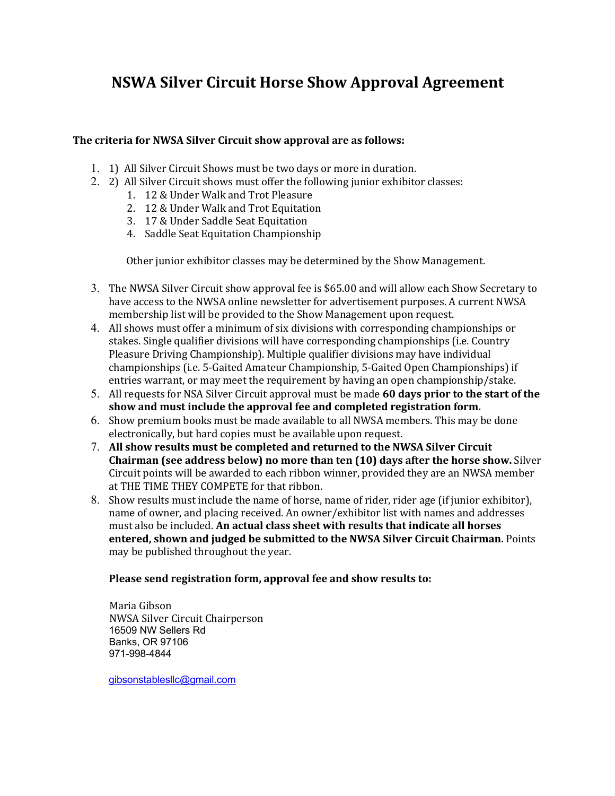## **NSWA Silver Circuit Horse Show Approval Agreement**

### The criteria for NWSA Silver Circuit show approval are as follows:

- 1. 1) All Silver Circuit Shows must be two days or more in duration.
- 2. 2) All Silver Circuit shows must offer the following junior exhibitor classes:
	- 1. 12 & Under Walk and Trot Pleasure
	- 2. 12 & Under Walk and Trot Equitation
	- 3. 17 & Under Saddle Seat Equitation
	- 4. Saddle Seat Equitation Championship

Other junior exhibitor classes may be determined by the Show Management.

- 3. The NWSA Silver Circuit show approval fee is \$65.00 and will allow each Show Secretary to have access to the NWSA online newsletter for advertisement purposes. A current NWSA membership list will be provided to the Show Management upon request.
- 4. All shows must offer a minimum of six divisions with corresponding championships or stakes. Single qualifier divisions will have corresponding championships (i.e. Country Pleasure Driving Championship). Multiple qualifier divisions may have individual championships (i.e. 5-Gaited Amateur Championship, 5-Gaited Open Championships) if entries warrant, or may meet the requirement by having an open championship/stake.
- 5. All requests for NSA Silver Circuit approval must be made **60 days prior to the start of the** show and must include the approval fee and completed registration form.
- 6. Show premium books must be made available to all NWSA members. This may be done electronically, but hard copies must be available upon request.
- 7. All show results must be completed and returned to the NWSA Silver Circuit **Chairman (see address below) no more than ten (10) days after the horse show.** Silver Circuit points will be awarded to each ribbon winner, provided they are an NWSA member at THE TIME THEY COMPETE for that ribbon.
- 8. Show results must include the name of horse, name of rider, rider age (if junior exhibitor), name of owner, and placing received. An owner/exhibitor list with names and addresses must also be included. **An actual class sheet with results that indicate all horses entered, shown and judged be submitted to the NWSA Silver Circuit Chairman.** Points may be published throughout the year.

#### Please send registration form, approval fee and show results to:

 Maria Gibson NWSA Silver Circuit Chairperson 16509 NW Sellers Rd Banks, OR 97106 971-998-4844

gibsonstablesllc@gmail.com